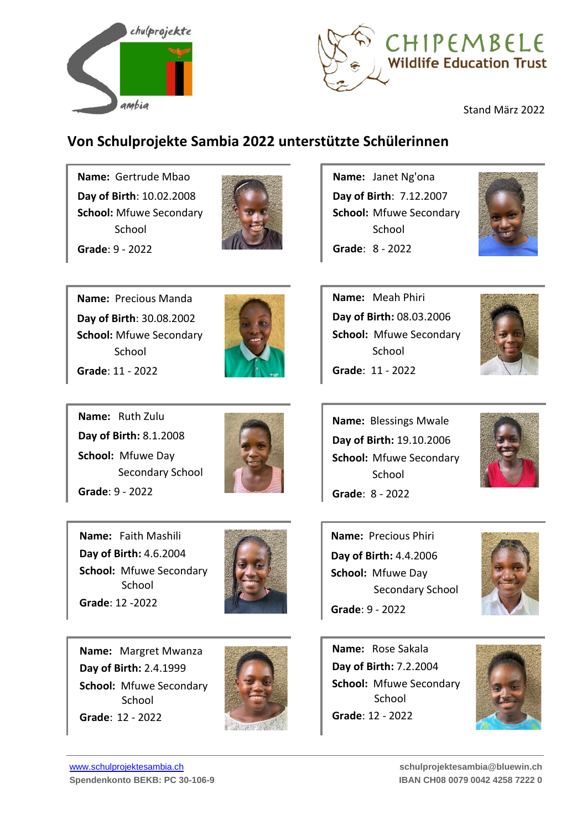



# **Von Schulprojekte Sambia 2022 unterstützte Schülerinnen**

**Name:** Gertrude Mbao **Day of Birth**: 10.02.2008 **School:** Mfuwe Secondary **School Grade**: 9 - 2022



**Name:** Precious Manda **Day of Birth**: 30.08.2002 **School:** Mfuwe Secondary **School Grade**: 11 - 2022



**Name:** Ruth Zulu **Day of Birth:** 8.1.2008 **School:** Mfuwe Day Secondary School **Grade**: 9 - 2022



**Name:** Faith Mashili **Day of Birth:** 4.6.2004 **School:** Mfuwe Secondary School **Grade**: 12 -2022



**Name:** Margret Mwanza **Day of Birth:** 2.4.1999 **School:** Mfuwe Secondary School **Grade**: 12 - 2022



**Name:** Janet Ng'ona **Day of Birth**: 7.12.2007 **School:** Mfuwe Secondary School **Grade**: 8 - 2022



**Name:** Meah Phiri **Day of Birth:** 08.03.2006 **School:** Mfuwe Secondary School **Grade**: 11 - 2022



**Name:** Blessings Mwale **Day of Birth:** 19.10.2006 **School:** Mfuwe Secondary **School Grade**: 8 - 2022



**Name:** Precious Phiri **Day of Birth:** 4.4.2006 **School:** Mfuwe Day Secondary School **Grade**: 9 - 2022



**Name:** Rose Sakala **Day of Birth:** 7.2.2004 **School:** Mfuwe Secondary School **Grade**: 12 - 2022

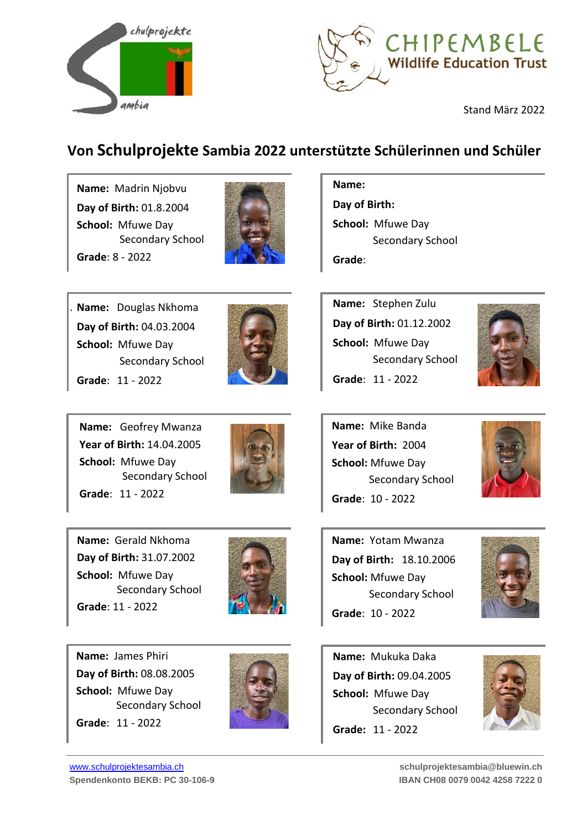



# **Von Schulprojekte Sambia 2022 unterstützte Schülerinnen und Schüler**

**Name:** Madrin Njobvu **Day of Birth:** 01.8.2004 **School:** Mfuwe Day Secondary School **Grade**: 8 - 2022



**Name:** Douglas Nkhoma **Day of Birth:** 04.03.2004 **School:** Mfuwe Day Secondary School **Grade**: 11 - 2022

.



**Name:** Geofrey Mwanza **Year of Birth:** 14.04.2005 **School:** Mfuwe Day Secondary School **Grade**: 11 - 2022



**Name:** Gerald Nkhoma **Day of Birth:** 31.07.2002 **School:** Mfuwe Day Secondary School **Grade**: 11 - 2022



**Name:** James Phiri **Day of Birth:** 08.08.2005 **School:** Mfuwe Day Secondary School **Grade**: 11 - 2022



### **Name:**

**Day of Birth: School:** Mfuwe Day Secondary School **Grade**:

**Name:** Stephen Zulu **Day of Birth:** 01.12.2002 **School:** Mfuwe Day Secondary School **Grade**: 11 - 2022



**Name:** Mike Banda **Year of Birth:** 2004 **School:** Mfuwe Day Secondary School **Grade**: 10 - 2022



**Name:** Yotam Mwanza **Day of Birth:** 18.10.2006 **School:** Mfuwe Day Secondary School **Grade**: 10 - 2022



**Name:** Mukuka Daka **Day of Birth:** 09.04.2005 **School:** Mfuwe Day Secondary School **Grade:** 11 - 2022

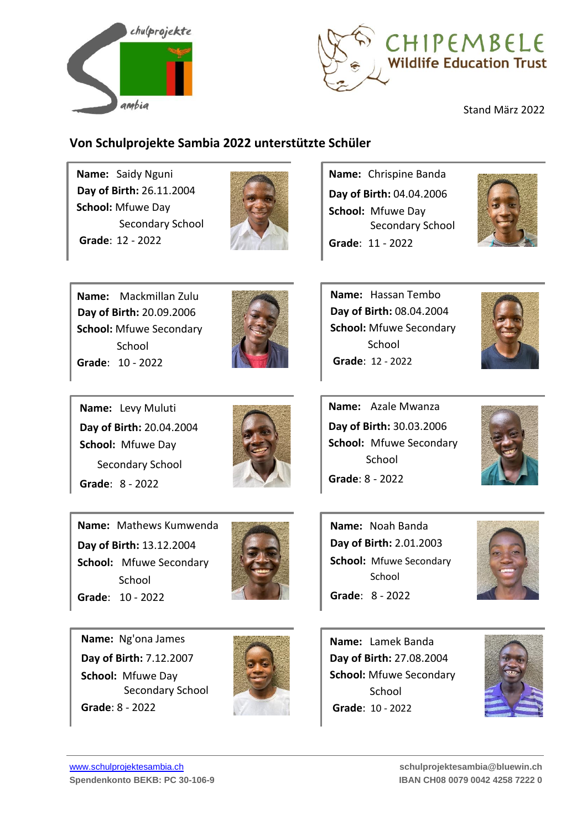



### **Von Schulprojekte Sambia 2022 unterstützte Schüler**

**Name:** Saidy Nguni **Day of Birth:** 26.11.2004 **School:** Mfuwe Day Secondary School **Grade**: 12 - 2022



**Name:** Chrispine Banda **Day of Birth:** 04.04.2006 **School:** Mfuwe Day Secondary School **Grade**: 11 - 2022



**Name:** Mackmillan Zulu **Day of Birth:** 20.09.2006 **School:** Mfuwe Secondary School **Grade**: 10 - 2022



**Name:** Hassan Tembo **Day of Birth:** 08.04.2004 **School:** Mfuwe Secondary School **Grade**: 12 - 2022

**Name:** Azale Mwanza

**Day of Birth:** 30.03.2006 **School:** Mfuwe Secondary

School



**Name:** Levy Muluti **Day of Birth:** 20.04.2004 **School:** Mfuwe Day Secondary School **Grade**: 8 - 2022

**Name:** Mathews Kumwenda

**Day of Birth:** 13.12.2004 **School:** Mfuwe Secondary School

**Grade**: 10 - 2022



**Grade**: 8 - 2022

**Name:** Noah Banda **Day of Birth:** 2.01.2003 **School:** Mfuwe Secondary School **Grade**: 8 - 2022



**Name:** Ng'ona James **Day of Birth:** 7.12.2007 **School:** Mfuwe Day Secondary School **Grade**: 8 - 2022



**Name:** Lamek Banda **Day of Birth:** 27.08.2004 **School:** Mfuwe Secondary School **Grade**: 10 - 2022